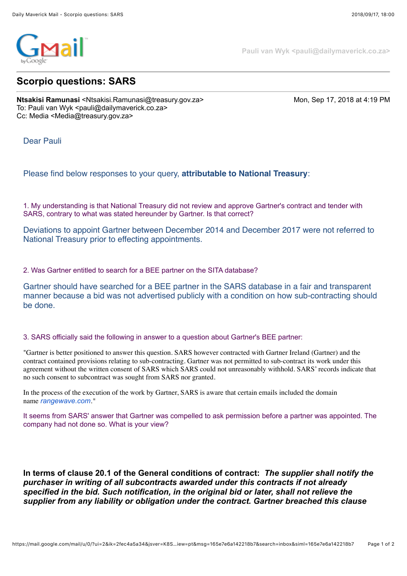

**Pauli van Wyk <pauli@dailymaverick.co.za>**

## **Scorpio questions: SARS**

**Ntsakisi Ramunasi** <Ntsakisi.Ramunasi@treasury.gov.za> Mon, Sep 17, 2018 at 4:19 PM To: Pauli van Wyk <pauli@dailymaverick.co.za> Cc: Media <Media@treasury.gov.za>

Dear Pauli

## Please find below responses to your query, **attributable to National Treasury**:

1. My understanding is that National Treasury did not review and approve Gartner's contract and tender with SARS, contrary to what was stated hereunder by Gartner. Is that correct?

Deviations to appoint Gartner between December 2014 and December 2017 were not referred to National Treasury prior to effecting appointments.

## 2. Was Gartner entitled to search for a BEE partner on the SITA database?

Gartner should have searched for a BEE partner in the SARS database in a fair and transparent manner because a bid was not advertised publicly with a condition on how sub-contracting should be done.

## 3. SARS officially said the following in answer to a question about Gartner's BEE partner:

"Gartner is better positioned to answer this question. SARS however contracted with Gartner Ireland (Gartner) and the contract contained provisions relating to sub-contracting. Gartner was not permitted to sub-contract its work under this agreement without the written consent of SARS which SARS could not unreasonably withhold. SARS' records indicate that no such consent to subcontract was sought from SARS nor granted.

In the process of the execution of the work by Gartner, SARS is aware that certain emails included the domain name *[rangewave.com](http://rangewave.com/)."*

It seems from SARS' answer that Gartner was compelled to ask permission before a partner was appointed. The company had not done so. What is your view?

**In terms of clause 20.1 of the General conditions of contract:** *The supplier shall notify the purchaser in writing of all subcontracts awarded under this contracts if not already specified in the bid. Such notification, in the original bid or later, shall not relieve the supplier from any liability or obligation under the contract. Gartner breached this clause*